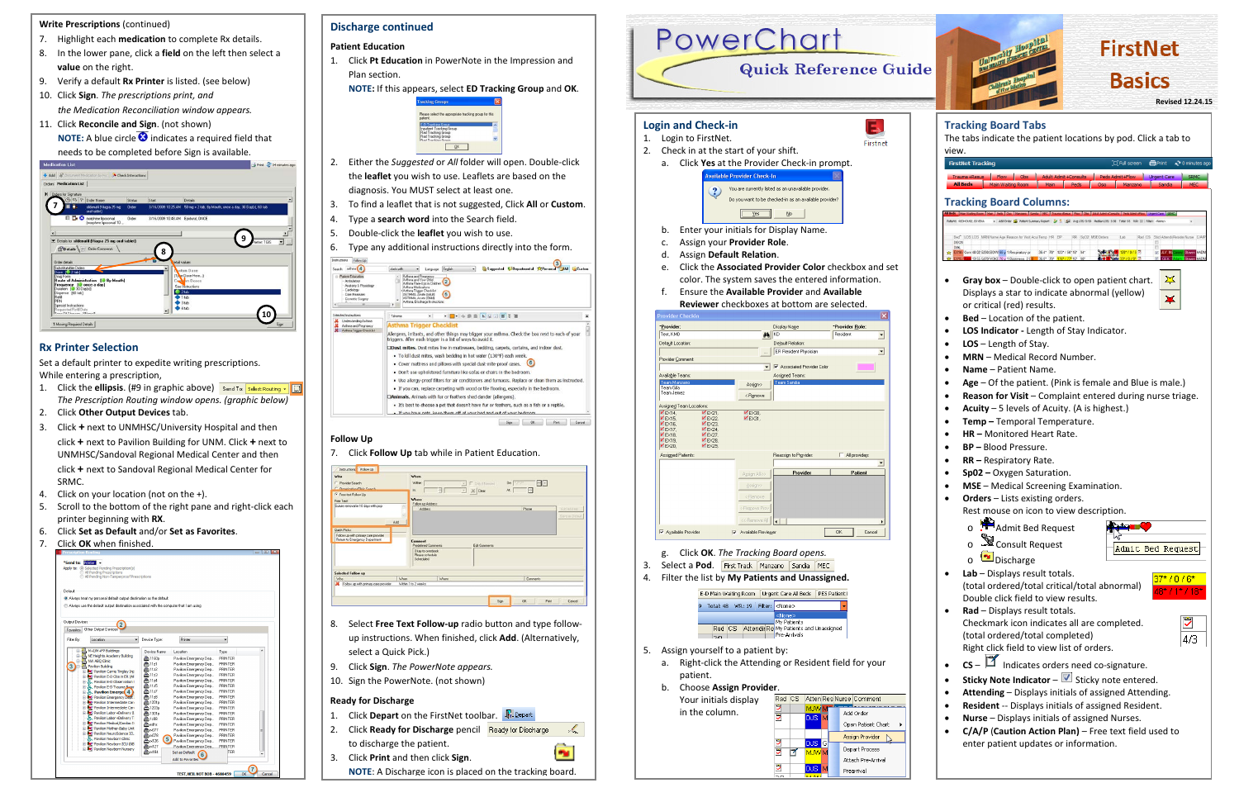- 1. Click **Depart** on the FirstNet toolbar. **R.** Depart
- 2. Click **Ready for Discharge** pencil  $\mathcal{L}$ to discharge the patient.
- 3. Click **Print** and then click **Sign**.
- 7. Highlight each **medication** to complete Rx details.
- 8. In the lower pane, click a **field** on the left then select a **value** on the right.
- 9. Verify a default **Rx Printer** is listed. (see below)
- 10. Click **Sign**. *The prescriptions print, and the Medication Reconciliation window appears.*
- 11. Click **Reconcile and Sign**. (not shown) **NOTE:** A blue circle  $\bullet$  indicates a required field that

- 1. Click the **ellipsis**. (#9 in graphic above) Send To: Select Routing  $\cdot$  **...** *The Prescription Routing window opens. (graphic below)*
- 2. Click **Other Output Devices** tab.
- 3. Click **+** next to UNMHSC/University Hospital and then click **+** next to Pavilion Building for UNM. Click **+** next to UNMHSC/Sandoval Regional Medical Center and then click **+** next to Sandoval Regional Medical Center for SRMC.
- 4. Click on your location (not on the +).
- 5. Scroll to the bottom of the right pane and right-click each printer beginning with **RX**.
- 6. Click **Set as Default** and/or **Set as Favorites**.
- 7. Click **OK** when finished.

|                       | Apply to: @ Selected Pending Prescription(s)<br>All Pending Prescriptions<br>All Pending Non-Tamperproof Prescriptions |                                         |                                                  |                    |   |
|-----------------------|------------------------------------------------------------------------------------------------------------------------|-----------------------------------------|--------------------------------------------------|--------------------|---|
| Default               |                                                                                                                        |                                         |                                                  |                    |   |
|                       | Always treat my personal default output destination as the default                                                     |                                         |                                                  |                    |   |
|                       | Always use the default output destination associated with the computer that I am using                                 |                                         |                                                  |                    |   |
|                       |                                                                                                                        |                                         |                                                  |                    |   |
|                       |                                                                                                                        |                                         |                                                  |                    |   |
| <b>Output Devices</b> |                                                                                                                        |                                         |                                                  |                    |   |
| Favorites             | Other Output Devices                                                                                                   |                                         |                                                  |                    |   |
|                       |                                                                                                                        |                                         |                                                  |                    |   |
| Filter Bv:            | Location                                                                                                               | ۰<br>Device Type:                       | Printer                                          |                    |   |
|                       | M+I/M+FP Buildings                                                                                                     | Device Name                             | Location                                         | Type               |   |
|                       | NE Heights Academy Building                                                                                            |                                         |                                                  |                    |   |
| 庙<br>禑                | NW ABQ Clinic                                                                                                          | <b>A</b> 1160p                          | Pavilion Emergency Dep                           | PRINTER            |   |
| 髃                     | <b>Pavilion Building</b>                                                                                               | $\triangle$ 11z1                        | Pavilion Emergency Dep                           | PRINTER            |   |
| ÷                     | <b>DV</b> C Pavilion Carrie Tingley Inc.                                                                               | e 11z2                                  | Pavilion Emergency Dep                           | PRINTER            |   |
| R                     | <b>De:</b> Pavilion E-D Obs in ER (AF                                                                                  | A 1123                                  | Pavilion Emergency Dep                           | PRINTER            |   |
| Ĥ                     | Pavilion E-D Observation I                                                                                             | <b>合1124</b>                            | Pavilion Emergency Dep                           | PRINTER<br>PRINTER |   |
| 宙                     | Pavilion E-D Trauma Boon                                                                                               | <b>合11z5</b><br><b>合</b> 11z7           | Pavilion Emergency Dep<br>Pavilion Emergency Dep | PRINTER            |   |
|                       | Pavilion Emerge 4                                                                                                      | <b>A</b> 11z8                           | Pavilion Emergency Dep                           | PRINTER            |   |
| Ĥ<br>畠                | <b>By</b> Pavilion Emergency Dept :<br><b>De</b> Pavilion Intermediate Can                                             | <b>合1201p</b>                           | Pavilion Emergency Dep                           | PRINTER            |   |
|                       | Fi-WC Pavilion Intermediate Can                                                                                        | <b>A</b> 1203p                          | Pavilion Emergency Dep                           | PRINTER            |   |
| Ĥ                     | <b>De:</b> Pavilion Labor +Delivery 0                                                                                  | 合1301p                                  | Pavilion Emergency Dep                           | PRINTER            |   |
|                       | Pavilion Labor +Delivery T                                                                                             | <b>合</b> 1z08                           | Pavilion Emergency Dep                           | PRINTER            |   |
| 田                     | <b>DV</b> Pavilion Medical/Cardiac II                                                                                  | edhs                                    | Pavilion Emergency Dep                           | PRINTER            |   |
|                       | <b>DAC Pavilion Mother-Baby Unit</b>                                                                                   | 合ax077                                  | Pavilion Emergency Dep                           | PRINTER            | É |
|                       | in MC Pavilion NeuroScience ICL                                                                                        | <b>A</b> <sub>1</sub> <sub>n×</sub> 078 | Pavilion Emergency Dep                           | PRINTER            |   |
|                       | E. Pavilion Newborn Clinic                                                                                             | $5^{\circ}$<br><b>合</b> m126            | Pavilion Emergency Dep                           | PRINTER            |   |
| 审                     | <b>De:</b> Pavilion Newborn ICU (NB                                                                                    | <b>合</b> m127                           | Pavilion Emergency Dep                           | PRINTER            |   |
|                       | <b>E. W.</b> Pavilion Newborn Nurserv                                                                                  | em 184                                  | Set as Default                                   | TER                |   |
|                       |                                                                                                                        |                                         | 6<br><b>Add to Eavorites</b>                     |                    |   |

# **Discharge continued**

### **Patient Education**

- 1. Click **Pt Education** in PowerNote in the Impression and
- Plan section. **NOTE:** If this appears, select **ED Tracking Group** and **OK**.



- 2. Either the *Suggested* or *All* folder will open. Double-click the **leaflet** you wish to use. Leaflets are based on the diagnosis. You MUST select at least one.
- 3. To find a leaflet that is not suggested, Click **All** or **Custom**.
- 4. Type a **search word** into the Search field.
- 5. Double-click the **leaflet** you wish to use.
- 6. Type any additional instructions directly into the form.

| Search: athms (4)                                                                                                     | English<br>Suggested C Departmental APersonal JAII Custom<br>starts with<br>۰<br>Language                                                                                                                                                                                                                                                                                                                                                                                                                                                                                                                                                                                                                                                                                                                                                                                               |  |
|-----------------------------------------------------------------------------------------------------------------------|-----------------------------------------------------------------------------------------------------------------------------------------------------------------------------------------------------------------------------------------------------------------------------------------------------------------------------------------------------------------------------------------------------------------------------------------------------------------------------------------------------------------------------------------------------------------------------------------------------------------------------------------------------------------------------------------------------------------------------------------------------------------------------------------------------------------------------------------------------------------------------------------|--|
| Patient Education<br>Antukelony<br>Anatomy & Physiology<br>Cardology<br><b>Core Measures</b><br>Connetic Surgery<br>m | <b>Authma and Pregnancy</b><br>Adhma and Your Didd<br>Athwa Flare Ups in Children<br>Asthma Medications<br><asthma checklist<br="" trigger="">(5)<br/>ASTHMA, Acute (Adult)<br/>ASTHMA, Aruse (Child)<br/>Asthma, Discharge Instructions</asthma>                                                                                                                                                                                                                                                                                                                                                                                                                                                                                                                                                                                                                                       |  |
| Salar ted Instructions                                                                                                | $-1$ - $+$ 0 = $5$ V $-$ 5 + 3<br>$\cdot$<br>Tahoma                                                                                                                                                                                                                                                                                                                                                                                                                                                                                                                                                                                                                                                                                                                                                                                                                                     |  |
| Authina and Pregnancy<br>Asthma Trigger Checklist                                                                     | <b>Asthma Trigger Checklist</b><br>Allergens, irritants, and other things may trigger your asthma. Check the box next to each of your<br>triggers. After each trigger is a list of ways to avoid it.<br>Doust mites. Dust mites live in mattresses, bedding, carpets, curtains, and indoor dust.<br>· To kill dust mites, wash bedding in hot water (130°F) each week.<br>. Cover mattress and pillows with special dust-mite-proof cases.<br>. Don't use upholstered furniture like sofas or chairs in the bedroom.<br>. Use allergy-proof filters for air conditioners and furnaces. Replace or clean them as instructed.<br>. If you can, replace carpeting with wood or tile flooring, especially in the bedroom,<br>DAnimals, Animals with fur or feathers shed dander (allergens).<br>. It's best to choose a pet that doesn't have fur or feathers, such as a fish or a reptile. |  |

### **Follow Up**

### 7. Click **Follow Up** tab while in Patient Education.

| Who<br>C Provider Search<br>C. Ownsington Chin Casesh                                   | When<br>Within<br>lec.                           | а     | - F Only / Newded<br>$\mathbb{E}$ $\mathcal{H}$ Oear | At | $0\pi$ $\boxed{\cdots}$ $\boxed{-}$<br>日 |                             |
|-----------------------------------------------------------------------------------------|--------------------------------------------------|-------|------------------------------------------------------|----|------------------------------------------|-----------------------------|
| F Free-text Follow Up<br>Free Text:<br>Suture removal in 10 days with pop               | Where<br>Follow up Address                       |       |                                                      |    |                                          |                             |
| Add                                                                                     | Address                                          |       |                                                      |    | Phone                                    | Additions<br>Sevent Default |
| Quick Picks:<br>Follow up with primary care provider.<br>Return to Emergency Department | Comment<br>Predefined Comments                   |       | Edit Comments                                        |    |                                          |                             |
|                                                                                         | Okay to overbook<br>Please schedule<br>Scheduled |       |                                                      |    |                                          |                             |
| <b>Selected Follow up</b>                                                               |                                                  |       |                                                      |    |                                          |                             |
| Who<br>ж<br>Follow up with primary care provider                                        | When<br>Within 1 to 2 weeks                      | Where |                                                      |    | Commerts                                 |                             |
|                                                                                         |                                                  |       |                                                      |    |                                          |                             |

- 8. Select **Free Text Follow-up** radio button and type followup instructions. When finished, click **Add**. (Alternatively, select a Quick Pick.)
- 9. Click **Sign**. *The PowerNote appears.*
- 10. Sign the PowerNote. (not shown)



|   | E-D Main Waiting Room |  |  | Urgent Care All Beds   PES Patient                                  |  |
|---|-----------------------|--|--|---------------------------------------------------------------------|--|
| 9 |                       |  |  | Total: 48 WR: 19   Filter: <none></none>                            |  |
|   |                       |  |  | <none></none>                                                       |  |
|   |                       |  |  | My Patients<br>Rad CS Attendir Re My Patients and Unassigned<br>200 |  |
|   | n                     |  |  |                                                                     |  |

- 
- 
- 



### **Ready for Discharge**

**NOTE**: A Discharge icon is placed on the tracking board.

l ma

#### **Write Prescriptions** (continued)



## **Rx Printer Selection**

Set a default printer to expedite writing prescriptions. While entering a prescription,